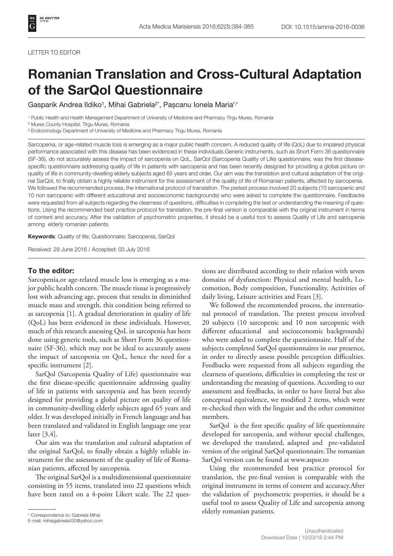## LETTER TO EDITOR

## Romanian Translation and Cross-Cultural Adaptation of the SarQol Questionnaire

Gasparik Andrea Ildiko<sup>1</sup>, Mihai Gabriela<sup>2\*</sup>, Pașcanu Ionela Maria<sup>2,3</sup>

1 Public Health and Health Management Department of University of Medicine and Pharmacy Tîrgu Mures, Romania

2 Mures County Hospital, Tîrgu Mures, Romania

<sup>3</sup> Endocrinology Department of University of Medicine and Pharmacy Tîrgu Mures, Romania

Sarcopenia, or age-related muscle loss is emerging as a major public health concern. A reduced quality of life (QoL) due to impaired physical performance associated with this disease has been evidenced in these individuals.Generic instruments, such as Short Form 36 questionnaire (SF-36), do not accurately assess the impact of sarcopenia on QoL. SarQol (Sarcopenia Quality of Life) questionnaire, was the first diseasespecific questionnaire addressing quality of life in patients with sarcopenia and has been recently designed for providing a global picture on quality of life in community-dwelling elderly subjects aged 65 years and older. Our aim was the translation and cultural adaptation of the original SarQol, to finally obtain a highly reliable instrument for the assessment of the quality of life of Romanian patients, affected by sarcopenia. We followed the recommended process, the international protocol of translation. The pretest process involved 20 subjects (10 sarcopenic and 10 non sarcopenic with different educational and socioeconomic backgrounds) who were asked to complete the questionnaire. Feedbacks were requested from all subjects regarding the clearness of questions, difficulties in completing the test or understanding the meaning of questions. Using the recommended best practice protocol for translation, the pre-final version is comparable with the original instrument in terms of content and accuracy. After the validation of psychometric properties, it should be a useful tool to assess Quality of Life and sarcopenia among elderly romanian patients.

Keywords: Quality of life; Questionnaire; Sarcopenia; SarQol

Received: 29 June 2016 / Accepted: 03 July 2016

## To the editor:

Sarcopenia,or age-related muscle loss is emerging as a major public health concern. The muscle tissue is progressively lost with advancing age, process that results in diminished muscle mass and strength, this condition being referred to as sarcopenia [1]. A gradual deterioration in quality of life (QoL) has been evidenced in these individuals. However, much of this research assessing QoL in sarcopenia has been done using generic tools, such as Short Form 36 questionnaire (SF-36), which may not be ideal to accurately assess the impact of sarcopenia on QoL, hence the need for a specific instrument [2].

SarQol (Sarcopenia Quality of Life) questionnaire was the first disease-specific questionnaire addressing quality of life in patients with sarcopenia and has been recently designed for providing a global picture on quality of life in community-dwelling elderly subjects aged 65 years and older. It was developed initially in French language and has been translated and validated in English language one year later [3,4].

Our aim was the translation and cultural adaptation of the original SarQol, to finally obtain a highly reliable instrument for the assessment of the quality of life of Romanian patients, affected by sarcopenia.

The original SarQol is a multidimensional questionnaire consisting in 55 items, translated into 22 questions which have been rated on a 4-point Likert scale. The 22 questions are distributed according to their relation with seven domains of dysfunction: Physical and mental health, Locomotion, Body composition, Functionality, Activities of daily living, Leisure activities and Fears [3].

We followed the recommended process, the international protocol of translation. The pretest process involved 20 subjects (10 sarcopenic and 10 non sarcopenic with different educational and socioeconomic backgrounds) who were asked to complete the questionnaire. Half of the subjects completed SarQol questionnaires in our presence, in order to directly assess possible perception difficulties. Feedbacks were requested from all subjects regarding the clearness of questions, difficulties in completing the test or understanding the meaning of questions. According to our assessment and feedbacks, in order to have literal but also conceptual equivalence, we modified 2 items, which were re-checked then with the linguist and the other committee members.

SarQol is the first specific quality of life questionnaire developed for sarcopenia, and without special challenges, we developed the translated, adapted and pre-validated version of the original SarQol questionnaire.The romanian SarQol version can be found at [www.aspor.ro](file:///F:/Clienti/_Journals/AMM/2016/2016-3/materiale/12%20iul/Mihai/C://Users//Peach//Downloads//www.aspor.ro)

Using the recommended best practice protocol for translation, the pre-final version is comparable with the original instrument in terms of content and accuracy.After the validation of psychometric properties, it should be a useful tool to assess Quality of Life and sarcopenia among elderly romanian patients. \* Correspondence to: Gabriela Mihai

E-mail: mihaigabriela430@yahoo.com